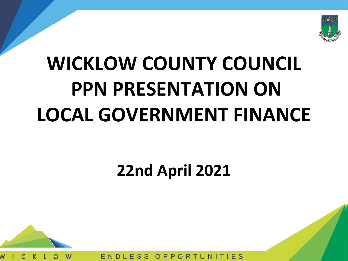

# **WICKLOW COUNTY COUNCIL PPN PRESENTATION ON LOCAL GOVERNMENT FINANCE**

#### **22nd April 2021**



 $FSS$  $OPPO$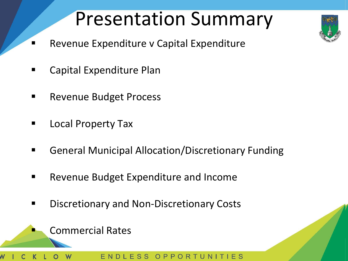# Presentation Summary

- Revenue Expenditure v Capital Expenditure
- Capital Expenditure Plan
- Revenue Budget Process
- **Local Property Tax**
- General Municipal Allocation/Discretionary Funding
- Revenue Budget Expenditure and Income
- Discretionary and Non-Discretionary Costs

ESS

OPPORTUNI

**Commercial Rates**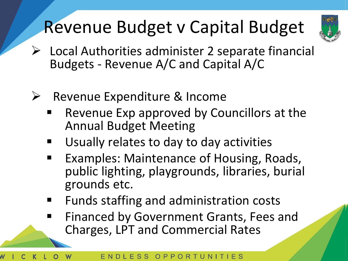# Revenue Budget v Capital Budget



- ➢ Local Authorities administer 2 separate financial Budgets - Revenue A/C and Capital A/C
- ➢ Revenue Expenditure & Income
	- Revenue Exp approved by Councillors at the Annual Budget Meeting
	- Usually relates to day to day activities
	- Examples: Maintenance of Housing, Roads, public lighting, playgrounds, libraries, burial grounds etc.
	- Funds staffing and administration costs
	- Financed by Government Grants, Fees and Charges, LPT and Commercial Rates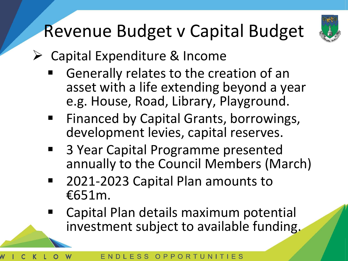

# Revenue Budget v Capital Budget

- ➢ Capital Expenditure & Income
	- Generally relates to the creation of an asset with a life extending beyond a year e.g. House, Road, Library, Playground.
	- Financed by Capital Grants, borrowings, development levies, capital reserves.
	- 3 Year Capital Programme presented annually to the Council Members (March)
	- 2021-2023 Capital Plan amounts to €651m.
	- Capital Plan details maximum potential investment subject to available funding.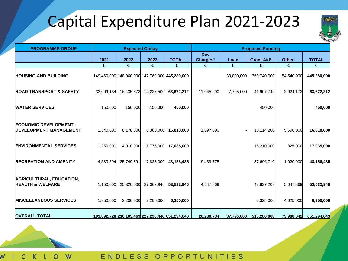#### Capital Expenditure Plan 2021-2023



| <b>PROGRAMME GROUP</b>                                          | <b>Expected Outlay</b> |            |            |                                                 | <b>Proposed Funding</b>            |            |                              |                    |              |
|-----------------------------------------------------------------|------------------------|------------|------------|-------------------------------------------------|------------------------------------|------------|------------------------------|--------------------|--------------|
|                                                                 | 2021                   | 2022       | 2023       | <b>TOTAL</b>                                    | <b>Dev</b><br>Charges <sup>1</sup> | Loan       | <b>Grant Aid<sup>2</sup></b> | Other <sup>3</sup> | <b>TOTAL</b> |
|                                                                 | €                      | €          | $\epsilon$ | €                                               | €                                  | $\epsilon$ | €                            | €                  | €            |
| <b>HOUSING AND BUILDING</b>                                     |                        |            |            | 149,460,000 148,060,000 147,760,000 445,280,000 |                                    | 30,000,000 | 360,740,000                  | 54,540,000         | 445,280,000  |
| <b>ROAD TRANSPORT &amp; SAFETY</b>                              | 33,009,134             | 16,435,578 | 14,227,500 | 63,672,212                                      | 11,045,290                         | 7,795,000  | 41,907,749                   | 2,924,173          | 63,672,212   |
| <b>WATER SERVICES</b>                                           | 150,000                | 150,000    | 150,000    | 450,000                                         |                                    |            | 450,000                      |                    | 450,000      |
| <b>IECONOMIC DEVELOPMENT -</b><br><b>DEVELOPMENT MANAGEMENT</b> | 2,340,000              | 8,178,000  | 6,300,000  | 16,818,000                                      | 1,097,800                          |            | 10,114,200                   | 5,606,000          | 16,818,000   |
| <b>ENVIRONMENTAL SERVICES</b>                                   | 1,250,000              | 4,010,000  | 11,775,000 | 17,035,000                                      |                                    |            | 16,210,000                   | 825,000            | 17,035,000   |
| <b>RECREATION AND AMENITY</b>                                   | 4,583,594              | 25,749,891 | 17,823,000 | 48,156,485                                      | 9,439,775                          |            | 37,696,710                   | 1,020,000          | 48,156,485   |
| <b>AGRICULTURAL, EDUCATION,</b><br><b>HEALTH &amp; WELFARE</b>  | 1,150,000              | 25,320,000 | 27,062,946 | 53,532,946                                      | 4,647,869                          |            | 43,837,209                   | 5,047,869          | 53,532,946   |
| <b>MISCELLANEOUS SERVICES</b>                                   | 1,950,000              | 2,200,000  | 2,200,000  | 6,350,000                                       |                                    |            | 2,325,000                    | 4,025,000          | 6,350,000    |
| <b>OVERALL TOTAL</b>                                            |                        |            |            | 193,892,728 230,103,469 227,298,446 651,294,643 | 26,230,734                         | 37,795,000 | 513,280,868                  | 73,988,042         | 651,294,643  |



W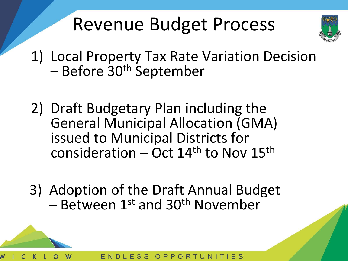## Revenue Budget Process



- 1) Local Property Tax Rate Variation Decision – Before 30th September
- 2) Draft Budgetary Plan including the General Municipal Allocation (GMA) issued to Municipal Districts for consideration – Oct  $14<sup>th</sup>$  to Nov  $15<sup>th</sup>$
- 3) Adoption of the Draft Annual Budget  $-$  Between 1st and 30<sup>th</sup> November

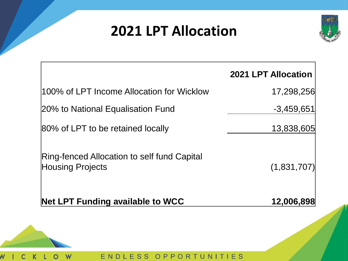#### **2021 LPT Allocation**



|                                                                        | <b>2021 LPT Allocation</b> |
|------------------------------------------------------------------------|----------------------------|
| 100% of LPT Income Allocation for Wicklow                              | 17,298,256                 |
| 20% to National Equalisation Fund                                      | $-3,459,651$               |
| 80% of LPT to be retained locally                                      | 13,838,605                 |
| Ring-fenced Allocation to self fund Capital<br><b>Housing Projects</b> | (1,831,707)                |
| <b>Net LPT Funding available to WCC</b>                                | 12,006,898                 |
|                                                                        |                            |



 $\mathsf K$ 

 $\overline{O}$ 

W

 $\overline{C}$ 

 $\overline{\mathsf{N}}$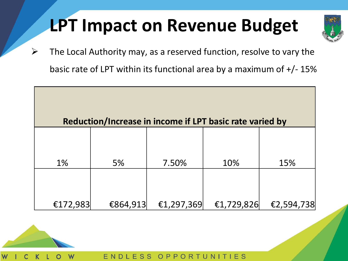### **LPT Impact on Revenue Budget**



 $\triangleright$  The Local Authority may, as a reserved function, resolve to vary the basic rate of LPT within its functional area by a maximum of  $+/-15\%$ 

|          | Reduction/Increase in income if LPT basic rate varied by |            |            |            |
|----------|----------------------------------------------------------|------------|------------|------------|
|          |                                                          |            |            |            |
| 1%       | 5%                                                       | 7.50%      | 10%        | 15%        |
|          |                                                          |            |            |            |
|          |                                                          |            |            |            |
| €172,983 | €864,913                                                 | €1,297,369 | €1,729,826 | €2,594,738 |



ENDLESS  $E S$ OPP TUNIT R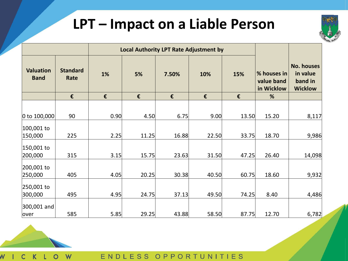#### **LPT – Impact on a Liable Person**



|                                 |                         |      | <b>Local Authority LPT Rate Adjustment by</b> |       |       |       |                                         |                                                            |
|---------------------------------|-------------------------|------|-----------------------------------------------|-------|-------|-------|-----------------------------------------|------------------------------------------------------------|
| <b>Valuation</b><br><b>Band</b> | <b>Standard</b><br>Rate | 1%   | 5%                                            | 7.50% | 10%   | 15%   | % houses in<br>value band<br>in Wicklow | <b>No. houses</b><br>in value<br>band in<br><b>Wicklow</b> |
|                                 | €                       | €    | €                                             | €     | €     | €     | %                                       |                                                            |
|                                 |                         |      |                                               |       |       |       |                                         |                                                            |
| 0 to $100,000$                  | 90                      | 0.90 | 4.50                                          | 6.75  | 9.00  | 13.50 | 15.20                                   | 8,117                                                      |
| 100,001 to                      |                         |      |                                               |       |       |       |                                         |                                                            |
| 150,000                         | 225                     | 2.25 | 11.25                                         | 16.88 | 22.50 | 33.75 | 18.70                                   | 9,986                                                      |
| 150,001 to<br>200,000           | 315                     | 3.15 | 15.75                                         | 23.63 | 31.50 | 47.25 | 26.40                                   | 14,098                                                     |
| 200,001 to                      |                         |      |                                               |       |       |       |                                         |                                                            |
| 250,000<br>250,001 to           | 405                     | 4.05 | 20.25                                         | 30.38 | 40.50 | 60.75 | 18.60                                   | 9,932                                                      |
| 300,000                         | 495                     | 4.95 | 24.75                                         | 37.13 | 49.50 | 74.25 | 8.40                                    | 4,486                                                      |
| 300,001 and                     |                         |      |                                               |       |       |       |                                         |                                                            |
| over                            | 585                     | 5.85 | 29.25                                         | 43.88 | 58.50 | 87.75 | 12.70                                   | 6,782                                                      |



W  $\mathsf K$  $\circ$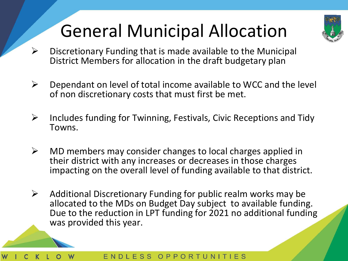# General Municipal Allocation



- $\triangleright$  Discretionary Funding that is made available to the Municipal District Members for allocation in the draft budgetary plan
- $\triangleright$  Dependant on level of total income available to WCC and the level of non discretionary costs that must first be met.
- ➢ Includes funding for Twinning, Festivals, Civic Receptions and Tidy Towns.
- $\triangleright$  MD members may consider changes to local charges applied in their district with any increases or decreases in those charges impacting on the overall level of funding available to that district.
- $\triangleright$  Additional Discretionary Funding for public realm works may be allocated to the MDs on Budget Day subject to available funding. Due to the reduction in LPT funding for 2021 no additional funding was provided this year.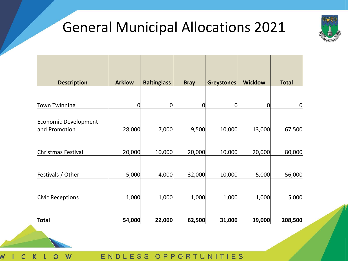#### General Municipal Allocations 2021



| <b>Description</b>                    | <b>Arklow</b> | <b>Baltinglass</b> | <b>Bray</b> | <b>Greystones</b> | <b>Wicklow</b> | <b>Total</b> |
|---------------------------------------|---------------|--------------------|-------------|-------------------|----------------|--------------|
|                                       |               |                    |             |                   |                |              |
| <b>Town Twinning</b>                  | $\mathbf 0$   | $\overline{0}$     | 0           | 0                 | 0              | $\mathbf 0$  |
|                                       |               |                    |             |                   |                |              |
| Economic Development<br>and Promotion | 28,000        | 7,000              | 9,500       | 10,000            | 13,000         | 67,500       |
|                                       |               |                    |             |                   |                |              |
| Christmas Festival                    | 20,000        | 10,000             | 20,000      | 10,000            | 20,000         | 80,000       |
|                                       |               |                    |             |                   |                |              |
| Festivals / Other                     | 5,000         | 4,000              | 32,000      | 10,000            | 5,000          | 56,000       |
|                                       |               |                    |             |                   |                |              |
| Civic Receptions                      | 1,000         | 1,000              | 1,000       | 1,000             | 1,000          | 5,000        |
|                                       |               |                    |             |                   |                |              |
| Total                                 | 54,000        | 22,000             | 62,500      | 31,000            | 39,000         | 208,500      |

W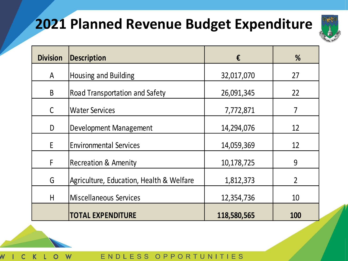#### **2021 Planned Revenue Budget Expenditure**



| <b>Division</b> | <b>Description</b>                       | €           | %              |
|-----------------|------------------------------------------|-------------|----------------|
| A               | Housing and Building                     | 32,017,070  | 27             |
| B               | Road Transportation and Safety           | 26,091,345  | 22             |
| C               | <b>Water Services</b>                    | 7,772,871   |                |
| D               | Development Management                   | 14,294,076  | 12             |
| E               | <b>Environmental Services</b>            | 14,059,369  | 12             |
| F               | <b>Recreation &amp; Amenity</b>          | 10,178,725  | 9              |
| G               | Agriculture, Education, Health & Welfare | 1,812,373   | $\overline{2}$ |
| H               | Miscellaneous Services                   | 12,354,736  | 10             |
|                 | <b>TOTAL EXPENDITURE</b>                 | 118,580,565 | <b>100</b>     |



W

ENDL ESS UNIT  $IES$  $OPP$ R. T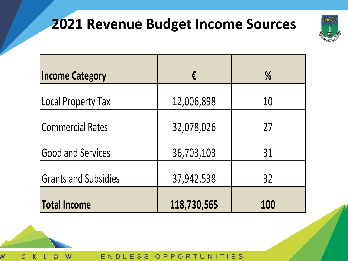#### **2021 Revenue Budget Income Sources**



| <b>Income Category</b>      | €           | $\frac{0}{0}$ |
|-----------------------------|-------------|---------------|
| Local Property Tax          | 12,006,898  | 10            |
| Commercial Rates            | 32,078,026  | 27            |
| <b>Good and Services</b>    | 36,703,103  | 31            |
| <b>Grants and Subsidies</b> | 37,942,538  | 32            |
| <b>Total Income</b>         | 118,730,565 | <b>100</b>    |



W

ENDLESS OPP RTUNITIES  $\Omega$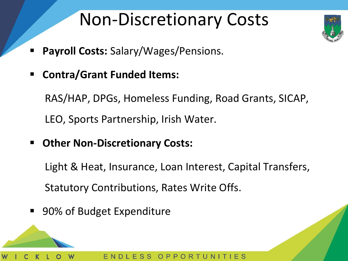### Non-Discretionary Costs



- **Payroll Costs: Salary/Wages/Pensions.**
- **Contra/Grant Funded Items:**

RAS/HAP, DPGs, Homeless Funding, Road Grants, SICAP, LEO, Sports Partnership, Irish Water.

**Other Non-Discretionary Costs:** 

Light & Heat, Insurance, Loan Interest, Capital Transfers, Statutory Contributions, Rates Write Offs.

■ 90% of Budget Expenditure

ESS OPPORTUN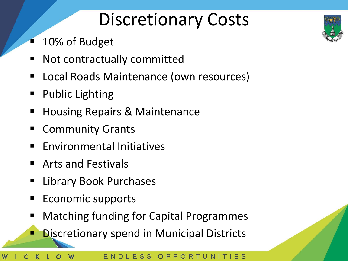### Discretionary Costs

- 10% of Budget
- Not contractually committed
- Local Roads Maintenance (own resources)
- **Public Lighting**
- Housing Repairs & Maintenance
- **Community Grants**
- **Environmental Initiatives**
- Arts and Festivals
- **Library Book Purchases**
- Economic supports
- **Matching funding for Capital Programmes**
- **Discretionary spend in Municipal Districts**



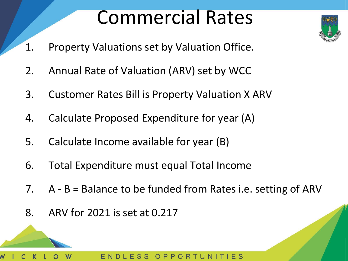# Commercial Rates

- 1. Property Valuations set by Valuation Office.
- 2. Annual Rate of Valuation (ARV) set by WCC
- 3. Customer Rates Bill is Property Valuation X ARV
- 4. Calculate Proposed Expenditure for year (A)
- 5. Calculate Income available for year (B)
- 6. Total Expenditure must equal Total Income
- 7. A B = Balance to be funded from Rates i.e. setting of ARV
- 8. ARV for 2021 is set at 0.217

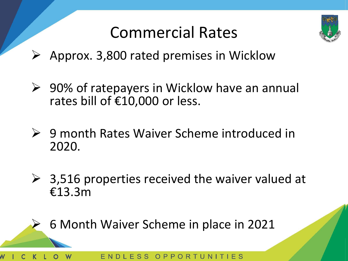

#### Commercial Rates

- $\triangleright$  Approx. 3,800 rated premises in Wicklow
- ➢ 90% of ratepayers in Wicklow have an annual rates bill of €10,000 or less.
- ➢ 9 month Rates Waiver Scheme introduced in 2020.
- $\geq$  3,516 properties received the waiver valued at €13.3m

➢ 6 Month Waiver Scheme in place in 2021

ESS OPPORT